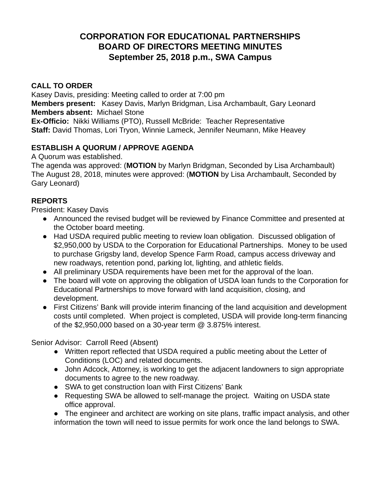# **CORPORATION FOR EDUCATIONAL PARTNERSHIPS BOARD OF DIRECTORS MEETING MINUTES September 25, 2018 p.m., SWA Campus**

#### **CALL TO ORDER**

Kasey Davis, presiding: Meeting called to order at 7:00 pm

**Members present:** Kasey Davis, Marlyn Bridgman, Lisa Archambault, Gary Leonard **Members absent:** Michael Stone

**Ex-Officio:** Nikki Williams (PTO), Russell McBride: Teacher Representative **Staff:** David Thomas, Lori Tryon, Winnie Lameck, Jennifer Neumann, Mike Heavey

### **ESTABLISH A QUORUM / APPROVE AGENDA**

A Quorum was established.

The agenda was approved: ( **MOTION** by Marlyn Bridgman, Seconded by Lisa Archambault) The August 28, 2018, minutes were approved: ( **MOTION** by Lisa Archambault, Seconded by Gary Leonard)

### **REPORTS**

President: Kasey Davis

- Announced the revised budget will be reviewed by Finance Committee and presented at the October board meeting.
- Had USDA required public meeting to review loan obligation. Discussed obligation of \$2,950,000 by USDA to the Corporation for Educational Partnerships. Money to be used to purchase Grigsby land, develop Spence Farm Road, campus access driveway and new roadways, retention pond, parking lot, lighting, and athletic fields.
- All preliminary USDA requirements have been met for the approval of the loan.
- The board will vote on approving the obligation of USDA loan funds to the Corporation for Educational Partnerships to move forward with land acquisition, closing, and development.
- First Citizens' Bank will provide interim financing of the land acquisition and development costs until completed. When project is completed, USDA will provide long-term financing of the \$2,950,000 based on a 30-year term  $@$  3.875% interest.

### Senior Advisor: Carroll Reed (Absent)

- Written report reflected that USDA required a public meeting about the Letter of Conditions (LOC) and related documents.
- John Adcock, Attorney, is working to get the adjacent landowners to sign appropriate documents to agree to the new roadway.
- SWA to get construction loan with First Citizens' Bank
- Requesting SWA be allowed to self-manage the project. Waiting on USDA state office approval.

● The engineer and architect are working on site plans, traffic impact analysis, and other information the town will need to issue permits for work once the land belongs to SWA.